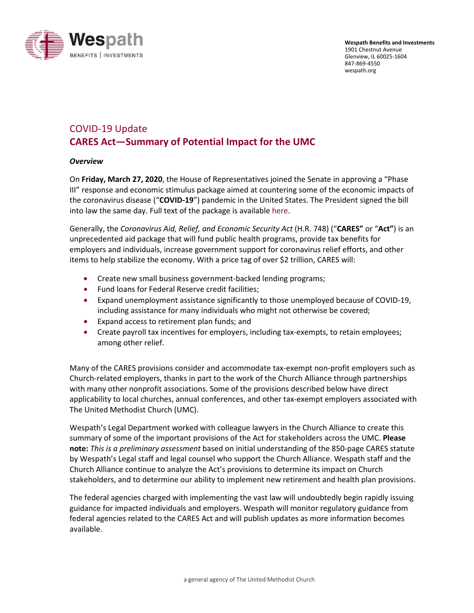

# COVID-19 Update **CARES Act—Summary of Potential Impact for the UMC**

### *Overview*

On **Friday, March 27, 2020**, the House of Representatives joined the Senate in approving a "Phase III" response and economic stimulus package aimed at countering some of the economic impacts of the coronavirus disease ("**COVID-19**") pandemic in the United States. The President signed the bill into law the same day. Full text of the package is availabl[e here.](https://congress.gov/116/bills/hr748/BILLS-116hr748eas.pdf)

Generally, the *Coronavirus Aid, Relief, and Economic Security Act* (H.R. 748) ("**CARES"** or "**Act"**) is an unprecedented aid package that will fund public health programs, provide tax benefits for employers and individuals, increase government support for coronavirus relief efforts, and other items to help stabilize the economy. With a price tag of over \$2 trillion, CARES will:

- Create new small business government-backed lending programs;
- Fund loans for Federal Reserve credit facilities;
- Expand unemployment assistance significantly to those unemployed because of COVID-19, including assistance for many individuals who might not otherwise be covered;
- Expand access to retirement plan funds; and
- Create payroll tax incentives for employers, including tax-exempts, to retain employees; among other relief.

Many of the CARES provisions consider and accommodate tax-exempt non-profit employers such as Church-related employers, thanks in part to the work of the Church Alliance through partnerships with many other nonprofit associations. Some of the provisions described below have direct applicability to local churches, annual conferences, and other tax-exempt employers associated with The United Methodist Church (UMC).

Wespath's Legal Department worked with colleague lawyers in the Church Alliance to create this summary of some of the important provisions of the Act for stakeholders across the UMC. **Please note:** *This is a preliminary assessment* based on initial understanding of the 850-page CARES statute by Wespath's Legal staff and legal counsel who support the Church Alliance. Wespath staff and the Church Alliance continue to analyze the Act's provisions to determine its impact on Church stakeholders, and to determine our ability to implement new retirement and health plan provisions.

The federal agencies charged with implementing the vast law will undoubtedly begin rapidly issuing guidance for impacted individuals and employers. Wespath will monitor regulatory guidance from federal agencies related to the CARES Act and will publish updates as more information becomes available.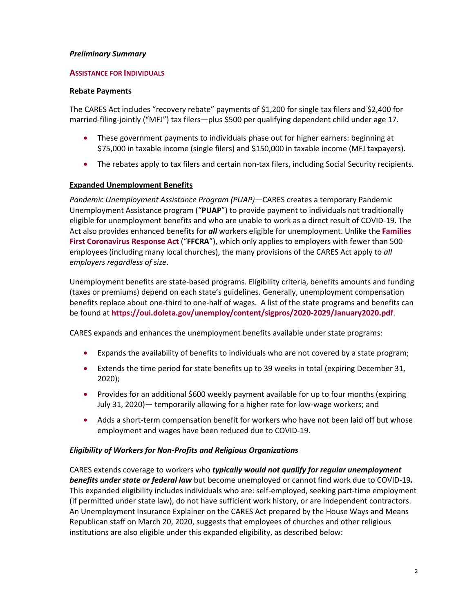### *Preliminary Summary*

#### **ASSISTANCE FOR INDIVIDUALS**

#### **Rebate Payments**

The CARES Act includes "recovery rebate" payments of \$1,200 for single tax filers and \$2,400 for married-filing-jointly ("MFJ") tax filers—plus \$500 per qualifying dependent child under age 17.

- These government payments to individuals phase out for higher earners: beginning at \$75,000 in taxable income (single filers) and \$150,000 in taxable income (MFJ taxpayers).
- The rebates apply to tax filers and certain non-tax filers, including Social Security recipients.

### **Expanded Unemployment Benefits**

*Pandemic Unemployment Assistance Program (PUAP)—*CARES creates a temporary Pandemic Unemployment Assistance program ("**PUAP**") to provide payment to individuals not traditionally eligible for unemployment benefits and who are unable to work as a direct result of COVID-19. The Act also provides enhanced benefits for *all* workers eligible for unemployment. Unlike the **[Families](https://www.wespath.org/wespath.org/media/Coronavirus/FFCRA-3-23-2020.pdf)  [First Coronavirus Response Act](https://www.wespath.org/wespath.org/media/Coronavirus/FFCRA-3-23-2020.pdf)** ("**FFCRA**"), which only applies to employers with fewer than 500 employees (including many local churches), the many provisions of the CARES Act apply to *all employers regardless of size*.

Unemployment benefits are state-based programs. Eligibility criteria, benefits amounts and funding (taxes or premiums) depend on each state's guidelines. Generally, unemployment compensation benefits replace about one-third to one-half of wages. A list of the state programs and benefits can be found at **<https://oui.doleta.gov/unemploy/content/sigpros/2020-2029/January2020.pdf>**.

CARES expands and enhances the unemployment benefits available under state programs:

- Expands the availability of benefits to individuals who are not covered by a state program;
- Extends the time period for state benefits up to 39 weeks in total (expiring December 31, 2020);
- Provides for an additional \$600 weekly payment available for up to four months (expiring July 31, 2020)— temporarily allowing for a higher rate for low-wage workers; and
- Adds a short-term compensation benefit for workers who have not been laid off but whose employment and wages have been reduced due to COVID-19.

#### *Eligibility of Workers for Non-Profits and Religious Organizations*

CARES extends coverage to workers who *typically would not qualify for regular unemployment benefits under state or federal law* but become unemployed or cannot find work due to COVID-19*.* This expanded eligibility includes individuals who are: self-employed, seeking part-time employment (if permitted under state law), do not have sufficient work history, or are independent contractors. An Unemployment Insurance Explainer on the CARES Act prepared by the House Ways and Means Republican staff on March 20, 2020, suggests that employees of churches and other religious institutions are also eligible under this expanded eligibility, as described below: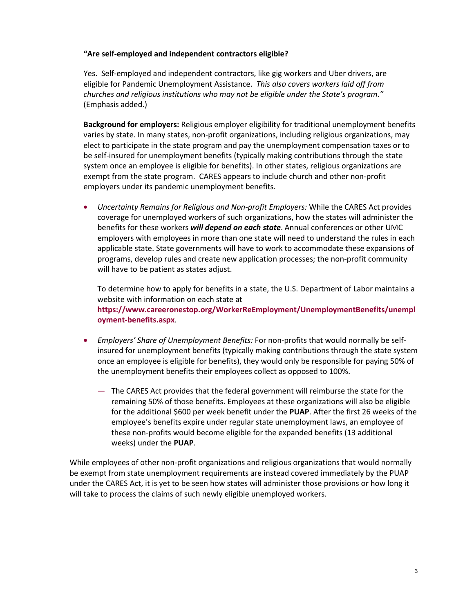#### **"Are self-employed and independent contractors eligible?**

Yes. Self-employed and independent contractors, like gig workers and Uber drivers, are eligible for Pandemic Unemployment Assistance. *This also covers workers laid off from churches and religious institutions who may not be eligible under the State's program."*  (Emphasis added.)

**Background for employers:** Religious employer eligibility for traditional unemployment benefits varies by state. In many states, non-profit organizations, including religious organizations, may elect to participate in the state program and pay the unemployment compensation taxes or to be self-insured for unemployment benefits (typically making contributions through the state system once an employee is eligible for benefits). In other states, religious organizations are exempt from the state program. CARES appears to include church and other non-profit employers under its pandemic unemployment benefits.

• *Uncertainty Remains for Religious and Non-profit Employers:* While the CARES Act provides coverage for unemployed workers of such organizations, how the states will administer the benefits for these workers *will depend on each state*. Annual conferences or other UMC employers with employees in more than one state will need to understand the rules in each applicable state. State governments will have to work to accommodate these expansions of programs, develop rules and create new application processes; the non-profit community will have to be patient as states adjust.

To determine how to apply for benefits in a state, the U.S. Department of Labor maintains a website with information on each state at **[https://www.careeronestop.org/WorkerReEmployment/UnemploymentBenefits/unempl](https://www.careeronestop.org/WorkerReEmployment/UnemploymentBenefits/unemployment-benefits.aspx) [oyment-benefits.aspx](https://www.careeronestop.org/WorkerReEmployment/UnemploymentBenefits/unemployment-benefits.aspx)**.

- *Employers' Share of Unemployment Benefits:* For non-profits that would normally be selfinsured for unemployment benefits (typically making contributions through the state system once an employee is eligible for benefits), they would only be responsible for paying 50% of the unemployment benefits their employees collect as opposed to 100%.
	- The CARES Act provides that the federal government will reimburse the state for the remaining 50% of those benefits. Employees at these organizations will also be eligible for the additional \$600 per week benefit under the **PUAP**. After the first 26 weeks of the employee's benefits expire under regular state unemployment laws, an employee of these non-profits would become eligible for the expanded benefits (13 additional weeks) under the **PUAP**.

While employees of other non-profit organizations and religious organizations that would normally be exempt from state unemployment requirements are instead covered immediately by the PUAP under the CARES Act, it is yet to be seen how states will administer those provisions or how long it will take to process the claims of such newly eligible unemployed workers.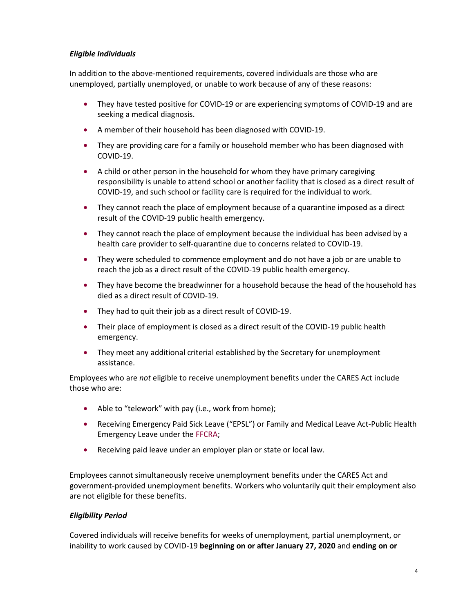### *Eligible Individuals*

In addition to the above-mentioned requirements, covered individuals are those who are unemployed, partially unemployed, or unable to work because of any of these reasons:

- They have tested positive for COVID-19 or are experiencing symptoms of COVID-19 and are seeking a medical diagnosis.
- A member of their household has been diagnosed with COVID-19.
- They are providing care for a family or household member who has been diagnosed with COVID-19.
- A child or other person in the household for whom they have primary caregiving responsibility is unable to attend school or another facility that is closed as a direct result of COVID-19, and such school or facility care is required for the individual to work.
- They cannot reach the place of employment because of a quarantine imposed as a direct result of the COVID-19 public health emergency.
- They cannot reach the place of employment because the individual has been advised by a health care provider to self-quarantine due to concerns related to COVID-19.
- They were scheduled to commence employment and do not have a job or are unable to reach the job as a direct result of the COVID-19 public health emergency.
- They have become the breadwinner for a household because the head of the household has died as a direct result of COVID-19.
- They had to quit their job as a direct result of COVID-19.
- Their place of employment is closed as a direct result of the COVID-19 public health emergency.
- They meet any additional criterial established by the Secretary for unemployment assistance.

Employees who are *not* eligible to receive unemployment benefits under the CARES Act include those who are:

- Able to "telework" with pay (i.e., work from home);
- Receiving Emergency Paid Sick Leave ("EPSL") or Family and Medical Leave Act-Public Health Emergency Leave under the [FFCRA;](https://www.wespath.org/wespath.org/media/Coronavirus/FFCRA-3-23-2020.pdf)
- Receiving paid leave under an employer plan or state or local law.

Employees cannot simultaneously receive unemployment benefits under the CARES Act and government-provided unemployment benefits. Workers who voluntarily quit their employment also are not eligible for these benefits.

# *Eligibility Period*

Covered individuals will receive benefits for weeks of unemployment, partial unemployment, or inability to work caused by COVID-19 **beginning on or after January 27, 2020** and **ending on or**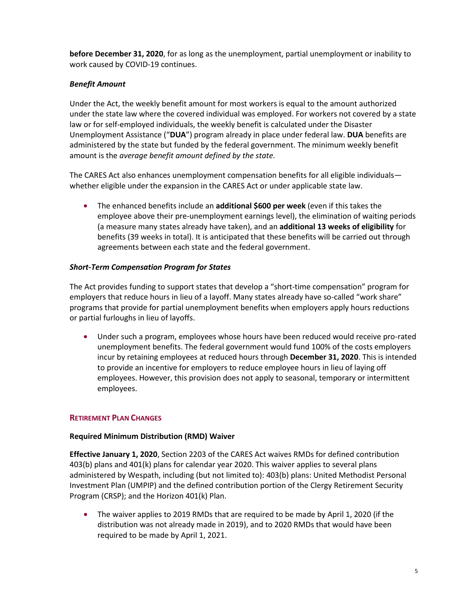**before December 31, 2020**, for as long as the unemployment, partial unemployment or inability to work caused by COVID-19 continues.

# *Benefit Amount*

Under the Act, the weekly benefit amount for most workers is equal to the amount authorized under the state law where the covered individual was employed. For workers not covered by a state law or for self-employed individuals, the weekly benefit is calculated under the Disaster Unemployment Assistance ("**DUA**") program already in place under federal law. **DUA** benefits are administered by the state but funded by the federal government. The minimum weekly benefit amount is the *average benefit amount defined by the state.*

The CARES Act also enhances unemployment compensation benefits for all eligible individuals whether eligible under the expansion in the CARES Act or under applicable state law.

• The enhanced benefits include an **additional \$600 per week** (even if this takes the employee above their pre-unemployment earnings level), the elimination of waiting periods (a measure many states already have taken), and an **additional 13 weeks of eligibility** for benefits (39 weeks in total). It is anticipated that these benefits will be carried out through agreements between each state and the federal government.

### *Short-Term Compensation Program for States*

The Act provides funding to support states that develop a "short-time compensation" program for employers that reduce hours in lieu of a layoff. Many states already have so-called "work share" programs that provide for partial unemployment benefits when employers apply hours reductions or partial furloughs in lieu of layoffs.

• Under such a program, employees whose hours have been reduced would receive pro-rated unemployment benefits. The federal government would fund 100% of the costs employers incur by retaining employees at reduced hours through **December 31, 2020**. This is intended to provide an incentive for employers to reduce employee hours in lieu of laying off employees. However, this provision does not apply to seasonal, temporary or intermittent employees.

# **RETIREMENT PLAN CHANGES**

### **Required Minimum Distribution (RMD) Waiver**

**Effective January 1, 2020**, Section 2203 of the CARES Act waives RMDs for defined contribution 403(b) plans and 401(k) plans for calendar year 2020. This waiver applies to several plans administered by Wespath, including (but not limited to): 403(b) plans: United Methodist Personal Investment Plan (UMPIP) and the defined contribution portion of the Clergy Retirement Security Program (CRSP); and the Horizon 401(k) Plan.

• The waiver applies to 2019 RMDs that are required to be made by April 1, 2020 (if the distribution was not already made in 2019), and to 2020 RMDs that would have been required to be made by April 1, 2021.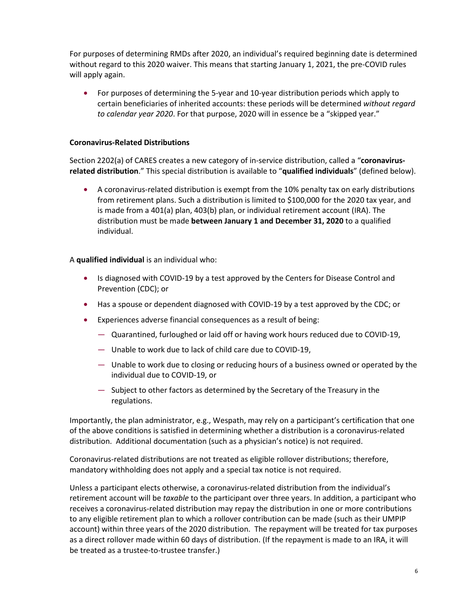For purposes of determining RMDs after 2020, an individual's required beginning date is determined without regard to this 2020 waiver. This means that starting January 1, 2021, the pre-COVID rules will apply again.

• For purposes of determining the 5-year and 10-year distribution periods which apply to certain beneficiaries of inherited accounts: these periods will be determined *without regard to calendar year 2020*. For that purpose, 2020 will in essence be a "skipped year."

### **Coronavirus-Related Distributions**

Section 2202(a) of CARES creates a new category of in-service distribution, called a "**coronavirusrelated distribution**." This special distribution is available to "**qualified individuals**" (defined below).

• A coronavirus-related distribution is exempt from the 10% penalty tax on early distributions from retirement plans. Such a distribution is limited to \$100,000 for the 2020 tax year, and is made from a 401(a) plan, 403(b) plan, or individual retirement account (IRA). The distribution must be made **between January 1 and December 31, 2020** to a qualified individual.

### A **qualified individual** is an individual who:

- Is diagnosed with COVID-19 by a test approved by the Centers for Disease Control and Prevention (CDC); or
- Has a spouse or dependent diagnosed with COVID-19 by a test approved by the CDC; or
- Experiences adverse financial consequences as a result of being:
	- Quarantined, furloughed or laid off or having work hours reduced due to COVID-19,
	- Unable to work due to lack of child care due to COVID-19,
	- Unable to work due to closing or reducing hours of a business owned or operated by the individual due to COVID-19, or
	- Subject to other factors as determined by the Secretary of the Treasury in the regulations.

Importantly, the plan administrator, e.g., Wespath, may rely on a participant's certification that one of the above conditions is satisfied in determining whether a distribution is a coronavirus-related distribution. Additional documentation (such as a physician's notice) is not required.

Coronavirus-related distributions are not treated as eligible rollover distributions; therefore, mandatory withholding does not apply and a special tax notice is not required.

Unless a participant elects otherwise, a coronavirus-related distribution from the individual's retirement account will be *taxable* to the participant over three years. In addition, a participant who receives a coronavirus-related distribution may repay the distribution in one or more contributions to any eligible retirement plan to which a rollover contribution can be made (such as their UMPIP account) within three years of the 2020 distribution. The repayment will be treated for tax purposes as a direct rollover made within 60 days of distribution. (If the repayment is made to an IRA, it will be treated as a trustee-to-trustee transfer.)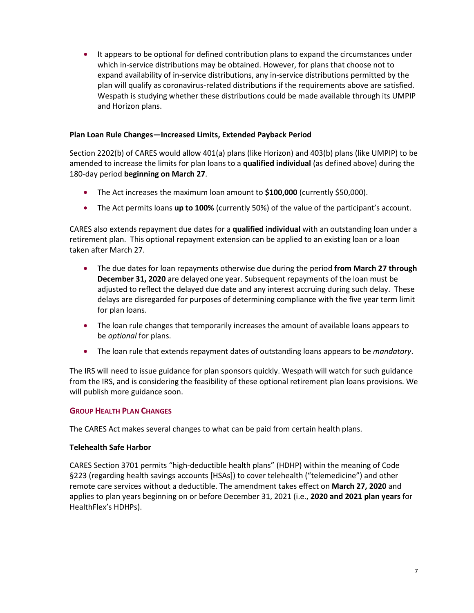• It appears to be optional for defined contribution plans to expand the circumstances under which in-service distributions may be obtained. However, for plans that choose not to expand availability of in-service distributions, any in-service distributions permitted by the plan will qualify as coronavirus-related distributions if the requirements above are satisfied. Wespath is studying whether these distributions could be made available through its UMPIP and Horizon plans.

### **Plan Loan Rule Changes—Increased Limits, Extended Payback Period**

Section 2202(b) of CARES would allow 401(a) plans (like Horizon) and 403(b) plans (like UMPIP) to be amended to increase the limits for plan loans to a **qualified individual** (as defined above) during the 180-day period **beginning on March 27**.

- The Act increases the maximum loan amount to **\$100,000** (currently \$50,000).
- The Act permits loans **up to 100%** (currently 50%) of the value of the participant's account.

CARES also extends repayment due dates for a **qualified individual** with an outstanding loan under a retirement plan. This optional repayment extension can be applied to an existing loan or a loan taken after March 27.

- The due dates for loan repayments otherwise due during the period **from March 27 through December 31, 2020** are delayed one year. Subsequent repayments of the loan must be adjusted to reflect the delayed due date and any interest accruing during such delay. These delays are disregarded for purposes of determining compliance with the five year term limit for plan loans.
- The loan rule changes that temporarily increases the amount of available loans appears to be *optional* for plans.
- The loan rule that extends repayment dates of outstanding loans appears to be *mandatory*.

The IRS will need to issue guidance for plan sponsors quickly. Wespath will watch for such guidance from the IRS, and is considering the feasibility of these optional retirement plan loans provisions. We will publish more guidance soon.

# **GROUP HEALTH PLAN CHANGES**

The CARES Act makes several changes to what can be paid from certain health plans.

### **Telehealth Safe Harbor**

CARES Section 3701 permits "high-deductible health plans" (HDHP) within the meaning of Code §223 (regarding health savings accounts [HSAs]) to cover telehealth ("telemedicine") and other remote care services without a deductible. The amendment takes effect on **March 27, 2020** and applies to plan years beginning on or before December 31, 2021 (i.e., **2020 and 2021 plan years** for HealthFlex's HDHPs).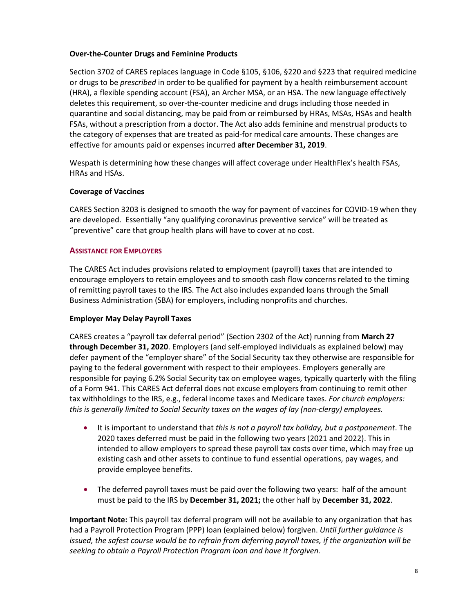#### **Over-the-Counter Drugs and Feminine Products**

Section 3702 of CARES replaces language in Code §105, §106, §220 and §223 that required medicine or drugs to be *prescribed* in order to be qualified for payment by a health reimbursement account (HRA), a flexible spending account (FSA), an Archer MSA, or an HSA. The new language effectively deletes this requirement, so over-the-counter medicine and drugs including those needed in quarantine and social distancing, may be paid from or reimbursed by HRAs, MSAs, HSAs and health FSAs, without a prescription from a doctor. The Act also adds feminine and menstrual products to the category of expenses that are treated as paid-for medical care amounts. These changes are effective for amounts paid or expenses incurred **after December 31, 2019**.

Wespath is determining how these changes will affect coverage under HealthFlex's health FSAs, HRAs and HSAs.

### **Coverage of Vaccines**

CARES Section 3203 is designed to smooth the way for payment of vaccines for COVID-19 when they are developed. Essentially "any qualifying coronavirus preventive service" will be treated as "preventive" care that group health plans will have to cover at no cost.

### **ASSISTANCE FOR EMPLOYERS**

The CARES Act includes provisions related to employment (payroll) taxes that are intended to encourage employers to retain employees and to smooth cash flow concerns related to the timing of remitting payroll taxes to the IRS. The Act also includes expanded loans through the Small Business Administration (SBA) for employers, including nonprofits and churches.

### **Employer May Delay Payroll Taxes**

CARES creates a "payroll tax deferral period" (Section 2302 of the Act) running from **March 27 through December 31, 2020**. Employers (and self-employed individuals as explained below) may defer payment of the "employer share" of the Social Security tax they otherwise are responsible for paying to the federal government with respect to their employees. Employers generally are responsible for paying 6.2% Social Security tax on employee wages, typically quarterly with the filing of a Form 941. This CARES Act deferral does not excuse employers from continuing to remit other tax withholdings to the IRS, e.g., federal income taxes and Medicare taxes. *For church employers: this is generally limited to Social Security taxes on the wages of lay (non-clergy) employees.*

- It is important to understand that *this is not a payroll tax holiday, but a postponement*. The 2020 taxes deferred must be paid in the following two years (2021 and 2022). This in intended to allow employers to spread these payroll tax costs over time, which may free up existing cash and other assets to continue to fund essential operations, pay wages, and provide employee benefits.
- The deferred payroll taxes must be paid over the following two years: half of the amount must be paid to the IRS by **December 31, 2021;** the other half by **December 31, 2022**.

**Important Note:** This payroll tax deferral program will not be available to any organization that has had a Payroll Protection Program (PPP) loan (explained below) forgiven. *Until further guidance is issued, the safest course would be to refrain from deferring payroll taxes, if the organization will be seeking to obtain a Payroll Protection Program loan and have it forgiven.*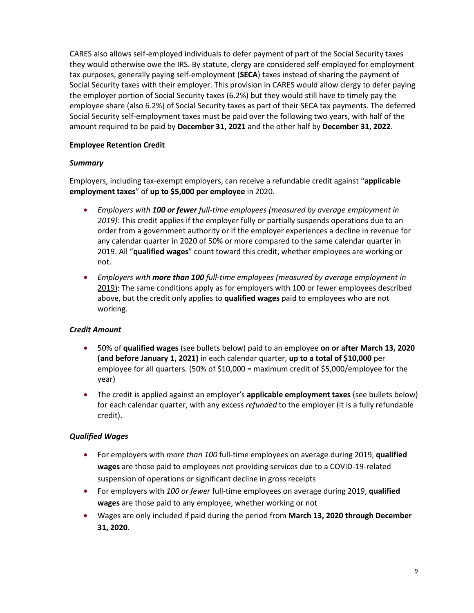CARES also allows self-employed individuals to defer payment of part of the Social Security taxes they would otherwise owe the IRS. By statute, clergy are considered self-employed for employment tax purposes, generally paying self-employment (**SECA**) taxes instead of sharing the payment of Social Security taxes with their employer. This provision in CARES would allow clergy to defer paying the employer portion of Social Security taxes (6.2%) but they would still have to timely pay the employee share (also 6.2%) of Social Security taxes as part of their SECA tax payments. The deferred Social Security self-employment taxes must be paid over the following two years, with half of the amount required to be paid by **December 31, 2021** and the other half by **December 31, 2022**.

# **Employee Retention Credit**

### *Summary*

Employers, including tax-exempt employers, can receive a refundable credit against "**applicable employment taxes**" of **up to \$5,000 per employee** in 2020.

- *Employers with 100 or fewer full-time employees (measured by average employment in 2019):* This credit applies if the employer fully or partially suspends operations due to an order from a government authority or if the employer experiences a decline in revenue for any calendar quarter in 2020 of 50% or more compared to the same calendar quarter in 2019. All "**qualified wages**" count toward this credit, whether employees are working or not.
- *Employers with more than 100 full-time employees (measured by average employment in* 2019): The same conditions apply as for employers with 100 or fewer employees described above, but the credit only applies to **qualified wages** paid to employees who are not working.

# *Credit Amount*

- 50% of **qualified wages** (see bullets below) paid to an employee **on or after March 13, 2020 (and before January 1, 2021)** in each calendar quarter, **up to a total of \$10,000** per employee for all quarters. (50% of \$10,000 = maximum credit of \$5,000/employee for the year)
- The credit is applied against an employer's **applicable employment taxes** (see bullets below) for each calendar quarter, with any excess *refunded* to the employer (it is a fully refundable credit).

# *Qualified Wages*

- For employers with *more than 100* full-time employees on average during 2019, **qualified wages** are those paid to employees not providing services due to a COVID-19-related suspension of operations or significant decline in gross receipts
- For employers with *100 or fewer* full-time employees on average during 2019, **qualified wages** are those paid to any employee, whether working or not
- Wages are only included if paid during the period from **March 13, 2020 through December 31, 2020**.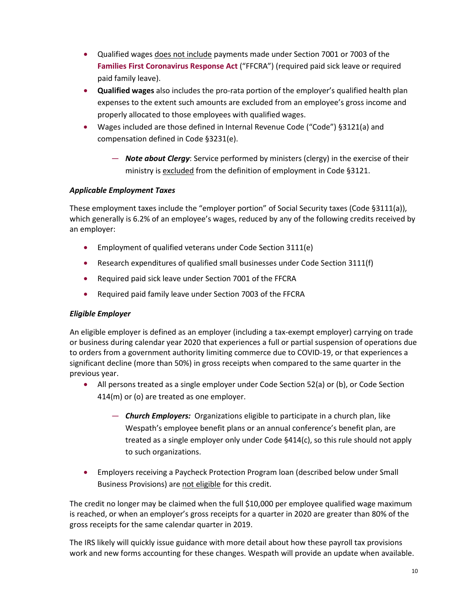- Qualified wages does not include payments made under Section 7001 or 7003 of the **[Families First Coronavirus Response Act](https://www.wespath.org/wespath.org/media/Coronavirus/FFCRA-3-23-2020.pdf)** ("FFCRA") (required paid sick leave or required paid family leave).
- **Qualified wages** also includes the pro-rata portion of the employer's qualified health plan expenses to the extent such amounts are excluded from an employee's gross income and properly allocated to those employees with qualified wages.
- Wages included are those defined in Internal Revenue Code ("Code") §3121(a) and compensation defined in Code §3231(e).
	- *Note about Clergy*: Service performed by ministers (clergy) in the exercise of their ministry is excluded from the definition of employment in Code §3121.

# *Applicable Employment Taxes*

These employment taxes include the "employer portion" of Social Security taxes (Code §3111(a)), which generally is 6.2% of an employee's wages, reduced by any of the following credits received by an employer:

- Employment of qualified veterans under Code Section 3111(e)
- Research expenditures of qualified small businesses under Code Section 3111(f)
- Required paid sick leave under Section 7001 of the FFCRA
- Required paid family leave under Section 7003 of the FFCRA

# *Eligible Employer*

An eligible employer is defined as an employer (including a tax-exempt employer) carrying on trade or business during calendar year 2020 that experiences a full or partial suspension of operations due to orders from a government authority limiting commerce due to COVID-19, or that experiences a significant decline (more than 50%) in gross receipts when compared to the same quarter in the previous year.

- All persons treated as a single employer under Code Section 52(a) or (b), or Code Section 414(m) or (o) are treated as one employer.
	- *Church Employers:* Organizations eligible to participate in a church plan, like Wespath's employee benefit plans or an annual conference's benefit plan, are treated as a single employer only under Code §414(c), so this rule should not apply to such organizations.
- Employers receiving a Paycheck Protection Program loan (described below under Small Business Provisions) are not eligible for this credit.

The credit no longer may be claimed when the full \$10,000 per employee qualified wage maximum is reached, or when an employer's gross receipts for a quarter in 2020 are greater than 80% of the gross receipts for the same calendar quarter in 2019.

The IRS likely will quickly issue guidance with more detail about how these payroll tax provisions work and new forms accounting for these changes. Wespath will provide an update when available.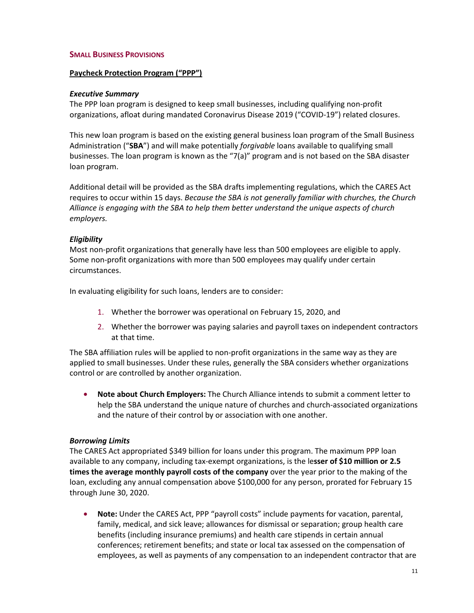#### **SMALL BUSINESS PROVISIONS**

#### **Paycheck Protection Program ("PPP")**

#### *Executive Summary*

The PPP loan program is designed to keep small businesses, including qualifying non-profit organizations, afloat during mandated Coronavirus Disease 2019 ("COVID-19") related closures.

This new loan program is based on the existing general business loan program of the Small Business Administration ("**SBA**") and will make potentially *forgivable* loans available to qualifying small businesses. The loan program is known as the "7(a)" program and is not based on the SBA disaster loan program.

Additional detail will be provided as the SBA drafts implementing regulations, which the CARES Act requires to occur within 15 days. *Because the SBA is not generally familiar with churches, the Church Alliance is engaging with the SBA to help them better understand the unique aspects of church employers.*

#### *Eligibility*

Most non-profit organizations that generally have less than 500 employees are eligible to apply. Some non-profit organizations with more than 500 employees may qualify under certain circumstances.

In evaluating eligibility for such loans, lenders are to consider:

- 1. Whether the borrower was operational on February 15, 2020, and
- 2. Whether the borrower was paying salaries and payroll taxes on independent contractors at that time.

The SBA affiliation rules will be applied to non-profit organizations in the same way as they are applied to small businesses. Under these rules, generally the SBA considers whether organizations control or are controlled by another organization.

• **Note about Church Employers:** The Church Alliance intends to submit a comment letter to help the SBA understand the unique nature of churches and church-associated organizations and the nature of their control by or association with one another.

### *Borrowing Limits*

The CARES Act appropriated \$349 billion for loans under this program. The maximum PPP loan available to any company, including tax-exempt organizations, is the le**sser of \$10 million or 2.5 times the average monthly payroll costs of the company** over the year prior to the making of the loan, excluding any annual compensation above \$100,000 for any person, prorated for February 15 through June 30, 2020.

• **Note:** Under the CARES Act, PPP "payroll costs" include payments for vacation, parental, family, medical, and sick leave; allowances for dismissal or separation; group health care benefits (including insurance premiums) and health care stipends in certain annual conferences; retirement benefits; and state or local tax assessed on the compensation of employees, as well as payments of any compensation to an independent contractor that are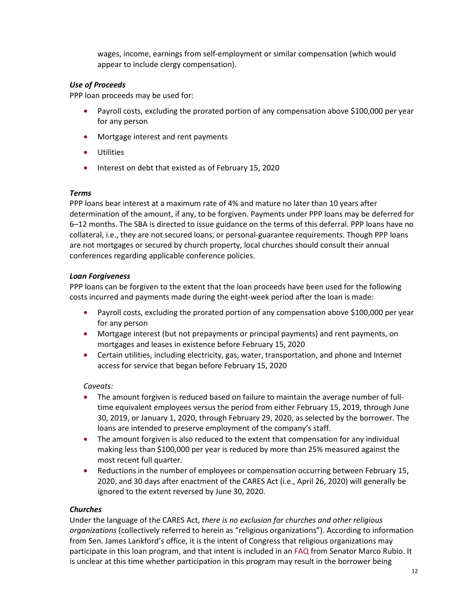wages, income, earnings from self-employment or similar compensation (which would appear to include clergy compensation).

# *Use of Proceeds*

PPP loan proceeds may be used for:

- Payroll costs, excluding the prorated portion of any compensation above \$100,000 per year for any person
- Mortgage interest and rent payments
- Utilities
- Interest on debt that existed as of February 15, 2020

### *Terms*

PPP loans bear interest at a maximum rate of 4% and mature no later than 10 years after determination of the amount, if any, to be forgiven. Payments under PPP loans may be deferred for 6–12 months. The SBA is directed to issue guidance on the terms of this deferral. PPP loans have no collateral, i.e., they are not secured loans, or personal-guarantee requirements. Though PPP loans are not mortgages or secured by church property, local churches should consult their annual conferences regarding applicable conference policies.

### *Loan Forgiveness*

PPP loans can be forgiven to the extent that the loan proceeds have been used for the following costs incurred and payments made during the eight-week period after the loan is made:

- Payroll costs, excluding the prorated portion of any compensation above \$100,000 per year for any person
- Mortgage interest (but not prepayments or principal payments) and rent payments, on mortgages and leases in existence before February 15, 2020
- Certain utilities, including electricity, gas, water, transportation, and phone and Internet access for service that began before February 15, 2020

### *Caveats:*

- The amount forgiven is reduced based on failure to maintain the average number of fulltime equivalent employees versus the period from either February 15, 2019, through June 30, 2019, or January 1, 2020, through February 29, 2020, as selected by the borrower. The loans are intended to preserve employment of the company's staff.
- The amount forgiven is also reduced to the extent that compensation for any individual making less than \$100,000 per year is reduced by more than 25% measured against the most recent full quarter.
- Reductions in the number of employees or compensation occurring between February 15, 2020, and 30 days after enactment of the CARES Act (i.e., April 26, 2020) will generally be ignored to the extent reversed by June 30, 2020.

# *Churches*

Under the language of the CARES Act, *there is no exclusion for churches and other religious organizations* (collectively referred to herein as "religious organizations"). According to information from Sen. James Lankford's office, it is the intent of Congress that religious organizations may participate in this loan program, and that intent is included in an [FAQ](https://www.rubio.senate.gov/public/_cache/files/ac3081f6-14ae-4e6f-9197-172ede28badd/71AB6CB05A08E369E0D488A80B3874A5.faqs---paycheck-protection-program-faqs-for-small-businesses.pdf) from Senator Marco Rubio. It is unclear at this time whether participation in this program may result in the borrower being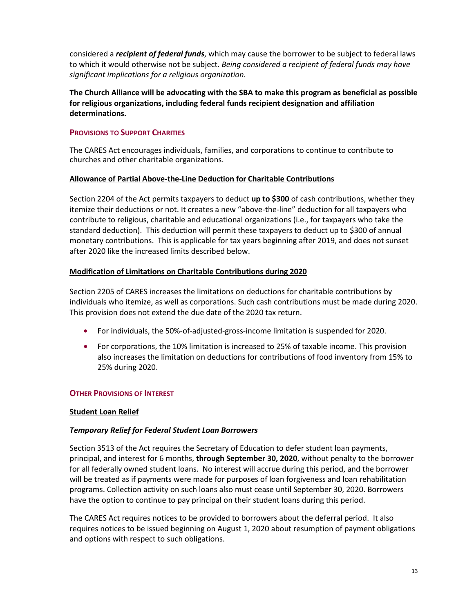considered a *recipient of federal funds*, which may cause the borrower to be subject to federal laws to which it would otherwise not be subject. *Being considered a recipient of federal funds may have significant implications for a religious organization.*

**The Church Alliance will be advocating with the SBA to make this program as beneficial as possible for religious organizations, including federal funds recipient designation and affiliation determinations.** 

### **PROVISIONS TO SUPPORT CHARITIES**

The CARES Act encourages individuals, families, and corporations to continue to contribute to churches and other charitable organizations.

### **Allowance of Partial Above-the-Line Deduction for Charitable Contributions**

Section 2204 of the Act permits taxpayers to deduct **up to \$300** of cash contributions, whether they itemize their deductions or not. It creates a new "above-the-line" deduction for all taxpayers who contribute to religious, charitable and educational organizations (i.e., for taxpayers who take the standard deduction). This deduction will permit these taxpayers to deduct up to \$300 of annual monetary contributions. This is applicable for tax years beginning after 2019, and does not sunset after 2020 like the increased limits described below.

### **Modification of Limitations on Charitable Contributions during 2020**

Section 2205 of CARES increases the limitations on deductions for charitable contributions by individuals who itemize, as well as corporations. Such cash contributions must be made during 2020. This provision does not extend the due date of the 2020 tax return.

- For individuals, the 50%-of-adjusted-gross-income limitation is suspended for 2020.
- For corporations, the 10% limitation is increased to 25% of taxable income. This provision also increases the limitation on deductions for contributions of food inventory from 15% to 25% during 2020.

### **OTHER PROVISIONS OF INTEREST**

### **Student Loan Relief**

### *Temporary Relief for Federal Student Loan Borrowers*

Section 3513 of the Act requires the Secretary of Education to defer student loan payments, principal, and interest for 6 months, **through September 30, 2020**, without penalty to the borrower for all federally owned student loans. No interest will accrue during this period, and the borrower will be treated as if payments were made for purposes of loan forgiveness and loan rehabilitation programs. Collection activity on such loans also must cease until September 30, 2020. Borrowers have the option to continue to pay principal on their student loans during this period.

The CARES Act requires notices to be provided to borrowers about the deferral period. It also requires notices to be issued beginning on August 1, 2020 about resumption of payment obligations and options with respect to such obligations.